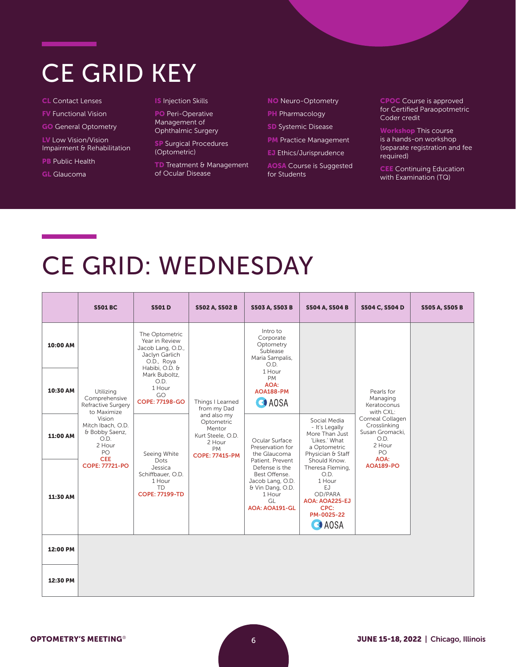#### CE GRID KEY

- CL Contact Lenses
- FV Functional Vision
- GO General Optometry

LV Low Vision/Vision Impairment & Rehabilitation

- **PB** Public Health
- GL Glaucoma

#### **IS** Injection Skills

PO Peri-Operative Management of Ophthalmic Surgery

**SP** Surgical Procedures (Optometric)

TD Treatment & Management of Ocular Disease

NO Neuro-Optometry

**PH** Pharmacology

**SD** Systemic Disease

- PM Practice Management
- **EJ** Ethics/Jurisprudence

AOSA Course is Suggested for Students

CPOC Course is approved for Certified Paraopotmetric Coder credit

Workshop This course is a hands-on workshop (separate registration and fee required)

CEE Continuing Education with Examination (TQ)

# CE GRID: WEDNESDAY

|          | <b>S501 BC</b>                                                                                      | <b>S501D</b>                                                                                             | <b>S502 A, S502 B</b>                                                  | <b>S503 A, S503 B</b>                                                                                                  | <b>S504 A, S504 B</b>                                                                                        | S504 C, S504 D                                     | <b>S505 A, S505 B</b> |
|----------|-----------------------------------------------------------------------------------------------------|----------------------------------------------------------------------------------------------------------|------------------------------------------------------------------------|------------------------------------------------------------------------------------------------------------------------|--------------------------------------------------------------------------------------------------------------|----------------------------------------------------|-----------------------|
| 10:00 AM |                                                                                                     | The Optometric<br>Year in Review<br>Jacob Lang, O.D.,<br>Jaclyn Garlich<br>O.D., Roya                    |                                                                        | Intro to<br>Corporate<br>Optometry<br>Sublease<br>Maria Sampalis,<br>O.D.                                              |                                                                                                              |                                                    |                       |
| 10:30 AM | Utilizing<br>Comprehensive<br>Refractive Surgery<br>to Maximize                                     | Habibi, O.D. &<br>Mark Buboltz.<br>O.D.<br>1 Hour<br>GO<br><b>COPE: 77198-GO</b>                         | Things I Learned<br>from my Dad                                        | 1 Hour<br><b>PM</b><br>AOA:<br>AOA188-PM<br><b>O</b> AOSA                                                              |                                                                                                              | Pearls for<br>Managing<br>Keratoconus<br>with CXL: |                       |
| 11:00 AM | Vision<br>Mitch Ibach, O.D.<br>& Bobby Saenz,<br>O.D.<br>2 Hour<br>PO<br>Seeing White<br><b>CEE</b> | and also my<br>Optometric<br>Mentor<br>Kurt Steele, O.D.<br>2 Hour<br><b>PM</b><br><b>COPE: 77415-PM</b> | Ocular Surface<br>Preservation for<br>the Glaucoma<br>Patient. Prevent | Social Media<br>- It's Legally<br>More Than Just<br>'Likes.' What<br>a Optometric<br>Physician & Staff<br>Should Know. | Corneal Collagen<br>Crosslinking<br>Susan Gromacki,<br>O.D.<br>2 Hour<br>PO<br>AOA:                          |                                                    |                       |
| 11:30 AM | COPE: 77721-PO                                                                                      | Dots<br>Jessica<br>Schiffbauer, O.D.<br>1 Hour<br><b>TD</b><br><b>COPE: 77199-TD</b>                     |                                                                        | Defense is the<br>Best Offense.<br>Jacob Lang, O.D.<br>& Vin Dang, O.D.<br>1 Hour<br>GL<br><b>AOA: AOA191-GL</b>       | Theresa Fleming,<br>O.D.<br>1 Hour<br>EJ<br>OD/PARA<br>AOA: AOA225-EJ<br>CPC:<br>PM-0025-22<br><b>O</b> AOSA | <b>AOA189-PO</b>                                   |                       |
| 12:00 PM |                                                                                                     |                                                                                                          |                                                                        |                                                                                                                        |                                                                                                              |                                                    |                       |
| 12:30 PM |                                                                                                     |                                                                                                          |                                                                        |                                                                                                                        |                                                                                                              |                                                    |                       |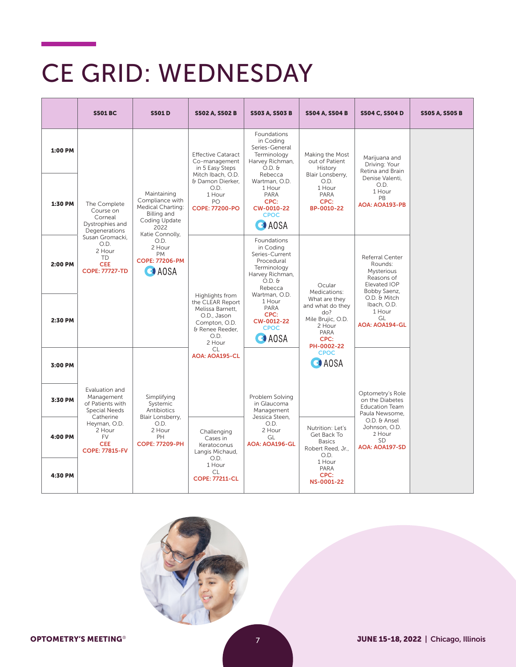## CE GRID: WEDNESDAY

|         | <b>S501 BC</b>                                                                        | <b>S501D</b>                                                                                                   | <b>S502 A, S502 B</b>                                                                                                        | <b>S503 A, S503 B</b>                                                                                                                     | <b>S504 A, S504 B</b>                                                                                 | S504 C, S504 D                                                                         | <b>S505 A, S505 B</b> |
|---------|---------------------------------------------------------------------------------------|----------------------------------------------------------------------------------------------------------------|------------------------------------------------------------------------------------------------------------------------------|-------------------------------------------------------------------------------------------------------------------------------------------|-------------------------------------------------------------------------------------------------------|----------------------------------------------------------------------------------------|-----------------------|
| 1:00 PM |                                                                                       |                                                                                                                | <b>Effective Cataract</b><br>Co-management<br>in 5 Easy Steps<br>Mitch Ibach, O.D.                                           | <b>Foundations</b><br>in Coding<br>Series-General<br>Terminology<br>Harvey Richman,<br>$O.D.$ &<br>Rebecca                                | Making the Most<br>out of Patient<br>History<br>Blair Lonsberry,                                      | Marijuana and<br>Driving: Your<br>Retina and Brain                                     |                       |
| 1:30 PM | The Complete<br>Course on<br>Corneal<br>Dystrophies and<br>Degenerations              | Maintaining<br>Compliance with<br>Medical Charting:<br>Billing and<br>Coding Update<br>2022<br>Katie Connolly, | & Damon Dierker,<br>O.D.<br>1 Hour<br>PO.<br><b>COPE: 77200-PO</b>                                                           | Wartman, O.D.<br>1 Hour<br>PARA<br>CPC:<br>CW-0010-22<br><b>CPOC</b><br><b>CA</b> AOSA                                                    | O.D.<br>1 Hour<br>PARA<br>CPC:<br>BP-0010-22                                                          | Denise Valenti.<br>O.D.<br>1 Hour<br><b>PB</b><br><b>AOA: AOA193-PB</b>                |                       |
| 2:00 PM | Susan Gromacki.<br>O.D.<br>2 Hour<br>TD<br><b>CEE</b><br><b>COPE: 77727-TD</b>        | O.D.<br>2 Hour<br><b>PM</b><br><b>COPE: 77206-PM</b><br><b>CA</b> AOSA                                         |                                                                                                                              | Foundations<br>in Coding<br>Series-Current<br>Procedural<br>Terminology<br>Harvey Richman,<br>$O.D.$ $\theta$<br>Rebecca<br>Wartman, O.D. | Ocular<br>Medications:                                                                                | Referral Center<br>Rounds:<br>Mysterious<br>Reasons of<br>Elevated IOP<br>Bobby Saenz, |                       |
| 2:30 PM |                                                                                       |                                                                                                                | Highlights from<br>the CLEAR Report<br>Melissa Barnett,<br>O.D., Jason<br>Compton, O.D.<br>& Renee Reeder.<br>O.D.<br>2 Hour | 1 Hour<br>PARA<br>CPC:<br>CW-0012-22<br><b>CPOC</b><br><b>O</b> AOSA                                                                      | What are they<br>and what do they<br>do?<br>Mile Brujic, O.D.<br>2 Hour<br>PARA<br>CPC:<br>PH-0002-22 | O.D. & Mitch<br>Ibach, O.D.<br>1 Hour<br>GL<br><b>AOA: AOA194-GL</b>                   |                       |
| 3:00 PM |                                                                                       |                                                                                                                | <b>CL</b><br><b>AOA: AOA195-CL</b>                                                                                           |                                                                                                                                           | <b>CPOC</b><br><b>CA</b> AOSA                                                                         |                                                                                        |                       |
| 3:30 PM | Evaluation and<br>Management<br>of Patients with<br><b>Special Needs</b><br>Catherine | Simplifying<br>Systemic<br>Antibiotics<br>Blair Lonsberry,                                                     |                                                                                                                              | Problem Solving<br>in Glaucoma<br>Management<br>Jessica Steen,                                                                            |                                                                                                       | Optometry's Role<br>on the Diabetes<br><b>Education Team</b><br>Paula Newsome.         |                       |
| 4:00 PM | Heyman, O.D.<br>2 Hour<br><b>FV</b><br><b>CEE</b><br><b>COPE: 77815-FV</b>            | O.D.<br>2 Hour<br>PH<br><b>COPE: 77209-PH</b>                                                                  | Challenging<br>Cases in<br>Keratoconus<br>Langis Michaud,                                                                    | O.D.<br>2 Hour<br>GL<br><b>AOA: AOA196-GL</b>                                                                                             | Nutrition: Let's<br>Get Back To<br><b>Basics</b><br>Robert Reed, Jr.,<br>O.D.                         | O.D. & Ansel<br>Johnson, O.D.<br>2 Hour<br>SD.<br>AOA: AOA197-SD                       |                       |
| 4:30 PM |                                                                                       |                                                                                                                | O.D.<br>1 Hour<br>CL.<br><b>COPE: 77211-CL</b>                                                                               |                                                                                                                                           | 1 Hour<br>PARA<br>CPC:<br>NS-0001-22                                                                  |                                                                                        |                       |

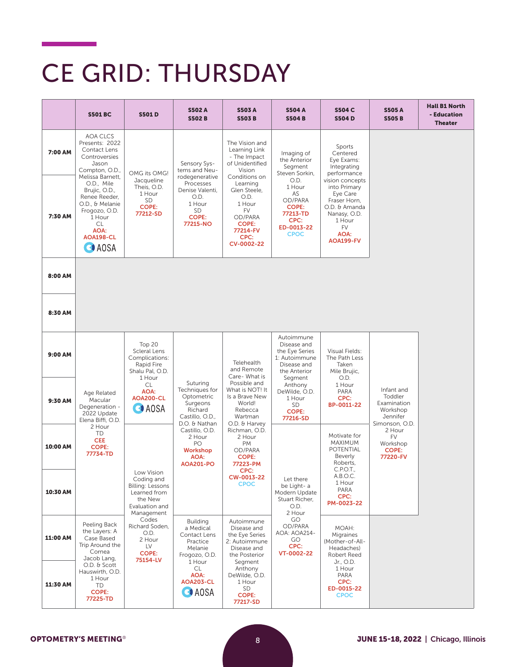#### CE GRID: THURSDAY

|          | <b>S501 BC</b>                                                                                                                                                           | <b>S501D</b>                                                                               | <b>S502 A</b><br><b>S502B</b>                                                                             | <b>S503 A</b><br><b>S503B</b>                                                                                                  | <b>S504 A</b><br><b>S504B</b>                                                                          | <b>S504 C</b><br><b>S504D</b>                                                                                                     | <b>S505A</b><br><b>S505B</b>                                                   | <b>Hall B1 North</b><br>- Education<br><b>Theater</b> |
|----------|--------------------------------------------------------------------------------------------------------------------------------------------------------------------------|--------------------------------------------------------------------------------------------|-----------------------------------------------------------------------------------------------------------|--------------------------------------------------------------------------------------------------------------------------------|--------------------------------------------------------------------------------------------------------|-----------------------------------------------------------------------------------------------------------------------------------|--------------------------------------------------------------------------------|-------------------------------------------------------|
| 7:00 AM  | <b>AOA CLCS</b><br>Presents: 2022<br>Contact Lens<br>Controversies<br>Jason<br>Compton, O.D.,                                                                            | OMG its OMG!                                                                               | Sensory Sys-<br>tems and Neu-                                                                             | The Vision and<br>Learning Link<br>- The Impact<br>of Unidentified<br>Vision                                                   | Imaging of<br>the Anterior<br>Segment<br>Steven Sorkin,                                                | Sports<br>Centered<br>Eye Exams:<br>Integrating<br>performance                                                                    |                                                                                |                                                       |
| 7:30 AM  | Melissa Barnett,<br>O.D., Mile<br>Brujic, O.D.,<br>Renee Reeder,<br>O.D., & Melanie<br>Frogozo, O.D.<br>1 Hour<br><b>CL</b><br>AOA:<br>AOA198-CL<br><b>O</b> AOSA        | Jacqueline<br>Theis, O.D.<br>1 Hour<br><b>SD</b><br><b>COPE:</b><br>77212-SD               | rodegenerative<br>Processes<br>Denise Valenti,<br>O.D.<br>1 Hour<br><b>SD</b><br><b>COPE:</b><br>77215-NO | Conditions on<br>Learning<br>Glen Steele,<br>O.D.<br>1 Hour<br>FV<br>OD/PARA<br><b>COPE:</b><br>77214-FV<br>CPC:<br>CV-0002-22 | O.D.<br>1 Hour<br>AS<br>OD/PARA<br><b>COPE:</b><br>77213-TD<br>CPC:<br>ED-0013-22<br><b>CPOC</b>       | vision concepts<br>into Primary<br>Eye Care<br>Fraser Horn,<br>O.D. & Amanda<br>Nanasy, O.D.<br>1 Hour<br>FV<br>AOA:<br>AOA199-FV |                                                                                |                                                       |
| 8:00 AM  |                                                                                                                                                                          |                                                                                            |                                                                                                           |                                                                                                                                |                                                                                                        |                                                                                                                                   |                                                                                |                                                       |
| 8:30 AM  |                                                                                                                                                                          |                                                                                            |                                                                                                           |                                                                                                                                |                                                                                                        |                                                                                                                                   |                                                                                |                                                       |
| 9:00 AM  |                                                                                                                                                                          | Top 20<br><b>Scleral Lens</b><br>Complications:<br>Rapid Fire<br>Shalu Pal, O.D.<br>1 Hour |                                                                                                           | Telehealth<br>and Remote<br>Care- What is                                                                                      | Autoimmune<br>Disease and<br>the Eye Series<br>1: Autoimmune<br>Disease and<br>the Anterior<br>Segment | Visual Fields:<br>The Path Less<br>Taken<br>Mile Brujic,<br>O.D.                                                                  |                                                                                |                                                       |
| 9:30 AM  | Age Related<br>Macular<br>Degeneration -<br>2022 Update<br>Elena Biffi, O.D.                                                                                             | <b>CL</b><br><b>AOA:</b><br>AOA200-CL<br><b>O</b> AOSA                                     | Suturing<br>Techniques for<br>Optometric<br>Surgeons<br>Richard<br>Castillo, O.D.,<br>D.O. & Nathan       | Possible and<br>What is NOT! It<br>Is a Brave New<br>World!<br>Rebecca<br>Wartman<br>O.D. & Harvey                             | Anthony<br>DeWilde, O.D.<br>1 Hour<br>SD<br><b>COPE:</b><br>77216-SD                                   | 1 Hour<br>PARA<br>CPC:<br>BP-0011-22                                                                                              | Infant and<br>Toddler<br>Examination<br>Workshop<br>Jennifer<br>Simonson, O.D. |                                                       |
| 10:00 AM | 2 Hour<br><b>TD</b><br><b>CEE</b><br><b>COPE:</b><br>77734-TD<br>Low Vision<br>Coding and<br>Billing: Lessons<br>Learned from<br>the New<br>Evaluation and<br>Management | Castillo, O.D.<br>2 Hour<br>PO<br>Workshop<br>AOA:<br><b>AOA201-PO</b>                     | Richman, O.D.<br>2 Hour<br><b>PM</b><br>OD/PARA<br><b>COPE:</b><br>77223-PM                               |                                                                                                                                | Motivate for<br><b>MAXIMUM</b><br>POTENTIAL<br>Beverly<br>Roberts,<br>C.P.O.T.,                        | 2 Hour<br>FV<br>Workshop<br><b>COPE:</b><br>77220-FV                                                                              |                                                                                |                                                       |
| 10:30 AM |                                                                                                                                                                          |                                                                                            | CPC:<br>CW-0013-22<br><b>CPOC</b>                                                                         | Let there<br>be Light- a<br>Modern Update<br>Stuart Richer,<br>O.D.<br>2 Hour                                                  | A.B.O.C.<br>1 Hour<br>PARA<br>CPC:<br>PM-0023-22                                                       |                                                                                                                                   |                                                                                |                                                       |
| 11:00 AM | Peeling Back<br>the Layers: A<br>Case Based<br>Trip Around the<br>Cornea<br>Jacob Lang,                                                                                  | Codes<br>Richard Soden,<br>O.D.<br>2 Hour<br>LV<br><b>COPE:</b><br>75154-LV                | <b>Building</b><br>a Medical<br>Contact Lens<br>Practice<br>Melanie<br>Frogozo, O.D.                      | Autoimmune<br>Disease and<br>the Eye Series<br>2: Autoimmune<br>Disease and<br>the Posterior                                   | GO<br>OD/PARA<br>AOA: AOA214-<br>GO<br>CPC:<br>VT-0002-22                                              | MOAH:<br>Migraines<br>(Mother-of-All-<br>Headaches)<br>Robert Reed                                                                |                                                                                |                                                       |
| 11:30 AM | O.D. & Scott<br>Hauswirth, O.D.<br>1 Hour<br>TD<br><b>COPE:</b><br>77225-TD                                                                                              |                                                                                            | 1 Hour<br>CL<br>AOA:<br><b>AOA203-CL</b><br><b>O</b> AOSA                                                 | Segment<br>Anthony<br>DeWilde, O.D.<br>1 Hour<br>SD<br><b>COPE:</b><br>77217-SD                                                |                                                                                                        | Jr., O.D.<br>1 Hour<br>PARA<br>CPC:<br>ED-0015-22<br><b>CPOC</b>                                                                  |                                                                                |                                                       |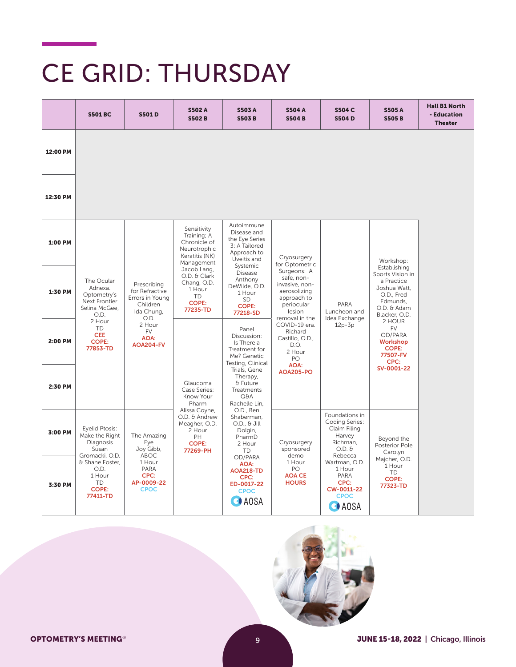# CE GRID: THURSDAY

|          | <b>S501 BC</b>                                                                                                                                               | <b>S501D</b>                                                                            | <b>S502 A</b><br><b>S502B</b>                                                                 | <b>S503A</b><br><b>S503B</b>                                                                                                                                                                        | <b>S504 A</b><br><b>S504B</b>                     | <b>S504 C</b><br><b>S504D</b>                                                                                                                                                              | <b>S505A</b><br><b>S505B</b>                                     | <b>Hall B1 North</b><br>- Education<br><b>Theater</b> |
|----------|--------------------------------------------------------------------------------------------------------------------------------------------------------------|-----------------------------------------------------------------------------------------|-----------------------------------------------------------------------------------------------|-----------------------------------------------------------------------------------------------------------------------------------------------------------------------------------------------------|---------------------------------------------------|--------------------------------------------------------------------------------------------------------------------------------------------------------------------------------------------|------------------------------------------------------------------|-------------------------------------------------------|
| 12:00 PM |                                                                                                                                                              |                                                                                         |                                                                                               |                                                                                                                                                                                                     |                                                   |                                                                                                                                                                                            |                                                                  |                                                       |
| 12:30 PM |                                                                                                                                                              |                                                                                         |                                                                                               |                                                                                                                                                                                                     |                                                   |                                                                                                                                                                                            |                                                                  |                                                       |
| 1:00 PM  |                                                                                                                                                              |                                                                                         | Sensitivity<br>Training; A<br>Chronicle of<br>Neurotrophic<br>Keratitis (NK)<br>Management    | Autoimmune<br>Disease and<br>the Eye Series<br>3: A Tailored<br>Approach to<br>Uveitis and<br>Systemic                                                                                              | Cryosurgery<br>for Optometric                     |                                                                                                                                                                                            | Workshop:<br>Establishing                                        |                                                       |
| 1:30 PM  | The Ocular<br>Prescribing<br>Adnexa.<br>for Refractive<br>Optometry's<br>Errors in Young<br>Next Frontier<br>Children<br>Selina McGee,<br>Ida Chung,<br>O.D. | Jacob Lang,<br>O.D. & Clark<br>Chang, O.D.<br>1 Hour<br>TD.<br><b>COPE:</b><br>77235-TD | <b>Disease</b><br>Anthony<br>DeWilde, O.D.<br>1 Hour<br><b>SD</b><br><b>COPE:</b><br>77218-SD | Surgeons: A<br>safe, non-<br>invasive, non-<br>aerosolizing<br>approach to<br>periocular<br>lesion<br>removal in the<br>COVID-19 era.<br>Richard<br>Castillo, O.D.,<br>D.O.<br>2 Hour<br>PO<br>AOA: | PARA<br>Luncheon and<br>Idea Exchange<br>$12p-3p$ | Sports Vision in<br>a Practice<br>Joshua Watt,<br>O.D., Fred<br>Edmunds,<br>O.D. & Adam<br>Blacker, O.D.<br>2 HOUR<br><b>FV</b><br>OD/PARA<br>Workshop<br><b>COPE:</b><br>77507-FV<br>CPC: |                                                                  |                                                       |
| 2:00 PM  | 2 Hour<br><b>TD</b><br><b>CEE</b><br><b>COPE:</b><br>77853-TD                                                                                                | O.D.<br>2 Hour<br><b>FV</b><br>AOA:<br>AOA204-FV                                        |                                                                                               |                                                                                                                                                                                                     |                                                   |                                                                                                                                                                                            |                                                                  |                                                       |
| 2:30 PM  |                                                                                                                                                              |                                                                                         | Glaucoma<br>Case Series:<br>Know Your<br>Pharm                                                | Testing, Clinical<br>Trials, Gene<br>Therapy,<br>& Future<br><b>Treatments</b><br>Q&A<br>Rachelle Lin,                                                                                              | <b>AOA205-PO</b>                                  |                                                                                                                                                                                            | SV-0001-22                                                       |                                                       |
| 3:00 PM  | Eyelid Ptosis:<br>Make the Right<br>Diagnosis<br>Susan<br>Gromacki, O.D.                                                                                     | The Amazing<br>Eye<br>Joy Gibb,<br>ABOC                                                 | Alissa Coyne,<br>O.D. & Andrew<br>Meagher, O.D.<br>2 Hour<br>PH<br><b>COPE:</b><br>77269-PH   | O.D., Ben<br>Shaberman,<br>$O.D., 6$ Jill<br>Dolgin,<br>PharmD<br>2 Hour<br><b>TD</b>                                                                                                               | Cryosurgery<br>sponsored<br>demo                  | Foundations in<br>Coding Series:<br>Claim Filing<br>Harvey<br>Richman,<br>$O.D.$ $\theta$                                                                                                  | Beyond the<br>Posterior Pole<br>Carolyn                          |                                                       |
| 3:30 PM  | & Shane Foster,<br>O.D.<br>1 Hour<br><b>TD</b><br><b>COPE:</b><br>77411-TD                                                                                   | 1 Hour<br>PARA<br>CPC:<br>AP-0009-22<br><b>CPOC</b>                                     |                                                                                               | OD/PARA<br>AOA:<br><b>AOA218-TD</b><br>CPC:<br>ED-0017-22<br><b>CPOC</b><br><b>CAOSA</b>                                                                                                            | 1 Hour<br>PO<br><b>AOA CE</b><br><b>HOURS</b>     | Rebecca<br>Wartman, O.D.<br>1 Hour<br>PARA<br>CPC:<br>CW-0011-22<br><b>CPOC</b><br><b>CA</b> AOSA                                                                                          | Majcher, O.D.<br>1 Hour<br><b>TD</b><br><b>COPE:</b><br>77323-TD |                                                       |

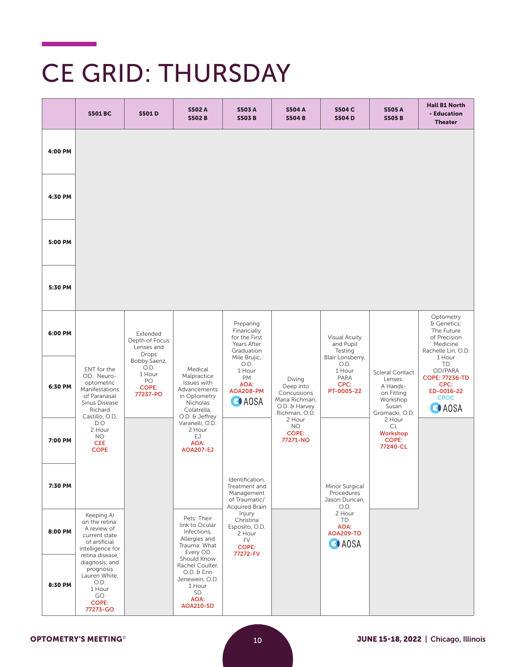## CE GRID: THURSDAY

|         | <b>S501 BC</b>                                                                                                      | <b>S501D</b>                                                     | <b>S502 A</b><br><b>S502B</b>                                                                               | <b>S503A</b><br><b>S503B</b>                                                             | <b>S504 A</b><br><b>S504B</b>                                                          | <b>S504 C</b><br><b>S504D</b>                                    | <b>S505A</b><br><b>S505B</b>                                                                       | <b>Hall B1 North</b><br>- Education<br><b>Theater</b>                                                         |
|---------|---------------------------------------------------------------------------------------------------------------------|------------------------------------------------------------------|-------------------------------------------------------------------------------------------------------------|------------------------------------------------------------------------------------------|----------------------------------------------------------------------------------------|------------------------------------------------------------------|----------------------------------------------------------------------------------------------------|---------------------------------------------------------------------------------------------------------------|
| 4:00 PM |                                                                                                                     |                                                                  |                                                                                                             |                                                                                          |                                                                                        |                                                                  |                                                                                                    |                                                                                                               |
| 4:30 PM |                                                                                                                     |                                                                  |                                                                                                             |                                                                                          |                                                                                        |                                                                  |                                                                                                    |                                                                                                               |
| 5:00 PM |                                                                                                                     |                                                                  |                                                                                                             |                                                                                          |                                                                                        |                                                                  |                                                                                                    |                                                                                                               |
| 5:30 PM |                                                                                                                     |                                                                  |                                                                                                             |                                                                                          |                                                                                        |                                                                  |                                                                                                    |                                                                                                               |
| 6:00 PM |                                                                                                                     | Extended<br>Depth of Focus<br>Lenses and<br>Drops                |                                                                                                             | Preparing<br>Financially<br>for the First<br>Years After<br>Graduation                   |                                                                                        | <b>Visual Acuity</b><br>and Pupil<br>Testing                     |                                                                                                    | Optometry<br>& Genetics:<br>The Future<br>of Precision<br>Medicine<br>Rachelle Lin, O.D.                      |
| 6:30 PM | ENT for the<br>OD: Neuro-<br>optometric<br>Manifestations<br>of Paranasal<br>Sinus Disease<br>Richard               | Bobby Saenz,<br>O.D.<br>1 Hour<br>PO<br><b>COPE:</b><br>77237-PO | Medical<br>Malpractice<br>Issues with<br>Advancements<br>in Optometry<br>Nicholas<br>Colatrella,            | Mile Brujic,<br>O.D.<br>1 Hour<br><b>PM</b><br>AOA:<br>AOA208-PM<br><b>O</b> AOSA        | Diving<br>Deep into<br>Concussions<br>Maria Richman,<br>O.D. & Harvey<br>Richman, O.D. | Blair Lonsberry,<br>O.D.<br>1 Hour<br>PARA<br>CPC:<br>PT-0005-22 | <b>Scleral Contact</b><br>Lenses:<br>A Hands-<br>on Fitting<br>Workshop<br>Susan<br>Gromacki, O.D. | 1 Hour<br><b>TD</b><br>OD/PARA<br><b>COPE: 77236-TD</b><br>CPC:<br>ED-0016-22<br><b>CPOC</b><br><b>O</b> AOSA |
| 7:00 PM | Castillo, O.D,<br>D.O<br>2 Hour<br><b>NO</b><br><b>CEE</b><br><b>COPE</b>                                           |                                                                  | O.D. & Jeffrey<br>Varanelli, O.D.<br>2 Hour<br>EJ<br>AOA:<br><b>AOA207-EJ</b>                               |                                                                                          | 2 Hour<br><b>NO</b><br><b>COPE:</b><br>77271-NO                                        |                                                                  | 2 Hour<br>CL<br>Workshop<br><b>COPE:</b><br>77240-CL                                               |                                                                                                               |
| 7:30 PM |                                                                                                                     |                                                                  |                                                                                                             | Identification,<br>Treatment and<br>Management<br>of Traumatic/<br><b>Acquired Brain</b> |                                                                                        | Minor Surgical<br>Procedures<br>Jason Duncan,<br>O.D.            |                                                                                                    |                                                                                                               |
| 8:00 PM | Keeping Al<br>on the retina:<br>A review of<br>current state<br>of artificial<br>intelligence for                   |                                                                  | Pets: Their<br>link to Ocular<br>Infections,<br>Allergies and<br>Trauma: What<br>Every OD                   | Injury<br>Christina<br>Esposito, O.D.<br>2 Hour<br><b>FV</b><br><b>COPE:</b><br>77272-FV |                                                                                        | 2 Hour<br>TD<br>AOA:<br><b>AOA209-TD</b><br><b>O</b> AOSA        |                                                                                                    |                                                                                                               |
| 8:30 PM | retina disease,<br>diagnosis, and<br>prognosis<br>Lauren White,<br>O.D.<br>1 Hour<br>GO<br><b>COPE:</b><br>77273-GO |                                                                  | Should Know<br>Rachel Coulter.<br>O.D. & Erin<br>Jenewein, O.D.<br>1 Hour<br>SD<br>AOA:<br><b>AOA210-SD</b> |                                                                                          |                                                                                        |                                                                  |                                                                                                    |                                                                                                               |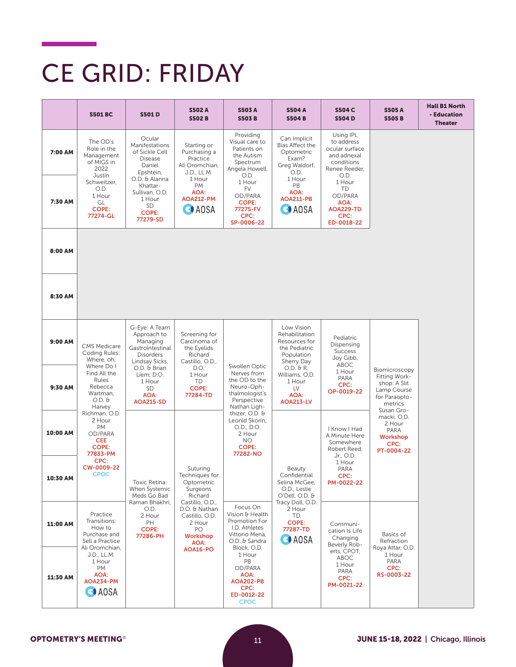## CE GRID: FRIDAY

|          | <b>S501 BC</b>                                                                          | <b>S501D</b>                                                                                       | <b>S502 A</b><br><b>S502B</b>                                                          | <b>S503A</b><br><b>S503B</b>                                                                                 | <b>S504 A</b><br><b>S504B</b>                                                              | <b>S504 C</b><br><b>S504D</b>                                                                   | <b>S505A</b><br><b>S505B</b>                                                              | <b>Hall B1 North</b><br>- Education<br><b>Theater</b> |
|----------|-----------------------------------------------------------------------------------------|----------------------------------------------------------------------------------------------------|----------------------------------------------------------------------------------------|--------------------------------------------------------------------------------------------------------------|--------------------------------------------------------------------------------------------|-------------------------------------------------------------------------------------------------|-------------------------------------------------------------------------------------------|-------------------------------------------------------|
| 7:00 AM  | The OD's<br>Role in the<br>Management<br>of MIGS in<br>2022<br>Justin                   | Ocular<br>Manifestations<br>of Sickle Cell<br><b>Disease</b><br>Daniel<br>Epshtein,                | Starting or<br>Purchasing a<br>Practice<br>Ali Oromchian,<br>J.D., LL.M.               | Providing<br>Visual care to<br>Patients on<br>the Autism<br>Spectrum<br>Angela Howell,<br>O.D.               | Can Implicit<br>Bias Affect the<br>Optometric<br>Exam?<br>Greg Waldorf,<br>O.D.            | Using IPL<br>to address<br>ocular surface<br>and adnexal<br>conditions<br>Renee Reeder,<br>O.D. |                                                                                           |                                                       |
| 7:30 AM  | Schweitzer,<br>O.D.<br>1 Hour<br>GL<br><b>COPE:</b><br>77274-GL                         | O.D. & Alanna<br>Khattar-<br>Sullivan, O.D.<br>1 Hour<br>SD<br><b>COPE:</b><br>77279-SD            | 1 Hour<br><b>PM</b><br>AOA:<br><b>AOA212-PM</b><br>$\bigcirc$ AOSA                     | 1 Hour<br>FV<br>OD/PARA<br><b>COPE:</b><br>77275-FV<br>CPC:<br>SP-0006-22                                    | 1 Hour<br>PB<br><b>AOA:</b><br><b>AOA211-PB</b><br>$\bigcirc$ AOSA                         | 1 Hour<br><b>TD</b><br>OD/PARA<br>AOA:<br><b>AOA229-TD</b><br>CPC:<br>ED-0018-22                |                                                                                           |                                                       |
| 8:00 AM  |                                                                                         |                                                                                                    |                                                                                        |                                                                                                              |                                                                                            |                                                                                                 |                                                                                           |                                                       |
| 8:30 AM  |                                                                                         |                                                                                                    |                                                                                        |                                                                                                              |                                                                                            |                                                                                                 |                                                                                           |                                                       |
| 9:00 AM  | <b>CMS Medicare</b><br>Coding Rules:<br>Where, oh,                                      | G-Eye: A Team<br>Approach to<br>Managing<br>Gastrointestinal<br><b>Disorders</b><br>Lindsay Sicks, | Screening for<br>Carcinoma of<br>the Eyelids<br>Richard<br>Castillo, O.D.,             |                                                                                                              | Low Vision<br>Rehabilitation<br>Resources for<br>the Pediatric<br>Population<br>Sherry Day | Pediatric<br>Dispensing<br><b>Success</b><br>Joy Gibb,<br>ABOC                                  |                                                                                           |                                                       |
| 9:30 AM  | Where Do I<br>Find All the<br>Rules<br>Rebecca<br>Wartman,<br>$O.D.$ $\theta$<br>Harvey | O.D. & Brian<br>Liem, D.O.<br>1 Hour<br>SD<br>AOA:<br><b>AOA215-SD</b>                             | D.O.<br>1 Hour<br>TD<br><b>COPE:</b><br>77284-TD                                       | Swollen Optic<br>Nerves from<br>the OD to the<br>Neuro-Oph-<br>thalmologist's<br>Perspective<br>Nathan Ligh- | $O.D. \theta R.$<br>Williams, O.D.<br>1 Hour<br>LV<br>AOA:<br><b>AOA213-LV</b>             | 1 Hour<br>PARA<br>CPC:<br>OP-0019-22                                                            | Biomicroscopy<br>Fitting Work-<br>shop: A Slit<br>Lamp Course<br>for Paraopto-<br>metrics |                                                       |
| 10:00 AM | Richman, O.D.<br>2 Hour<br>PM<br>OD/PARA<br><b>CEE</b><br><b>COPE:</b><br>77833-PM      |                                                                                                    |                                                                                        | thizer, O.D. &<br>Leonid Skorin,<br>O.D., D.O.<br>2 Hour<br>NO.<br><b>COPE:</b><br>77282-NO                  |                                                                                            | I Know I Had<br>A Minute Here<br>Somewhere<br>Robert Reed,<br>Jr., O.D.                         | Susan Gro-<br>macki, O.D.<br>2 Hour<br>PARA<br>Workshop<br>CPC:<br>PT-0004-22             |                                                       |
| 10:30 AM | CPC:<br>CW-0009-22<br><b>CPOC</b>                                                       | Toxic Retina:<br><b>When Systemic</b><br>Meds Go Bad                                               | Suturing<br>Techniques for<br>Optometric<br>Surgeons<br>Richard                        |                                                                                                              | Beauty<br>Confidential<br>Selina McGee,<br>O.D., Leslie<br>O'Dell, O.D. &                  | 1 Hour<br>PARA<br>CPC:<br>PM-0022-22                                                            |                                                                                           |                                                       |
| 11:00 AM | Practice<br>Transitions:<br>How to<br>Purchase and<br>Sell a Practice<br>Ali Oromchian. | Raman Bhakhri,<br>O.D.<br>2 Hour<br>PH<br><b>COPE:</b><br>77286-PH                                 | Castillo, O.D.,<br>D.O. & Nathan<br>Castillo, O.D.<br>2 Hour<br>PO<br>Workshop<br>AOA: | Focus On<br>Vision & Health<br>Promotion For<br>I.D. Athletes<br>Vittorio Mena,<br>O.D. & Sandra             | Tracy Doll, O.D.<br>2 Hour<br>TD<br><b>COPE:</b><br>77287-TD<br>$\bigcirc$ AOSA            | Communi-<br>cation Is Life<br>Changing<br>Beverly Rob-                                          | Basics of<br>Refraction                                                                   |                                                       |
| 11:30 AM | J.D., LL.M.<br>1 Hour<br>PM<br>AOA:<br>AOA234-PM<br><b>CAOSA</b>                        |                                                                                                    | AOA16-PO                                                                               | Block, O.D.<br>1 Hour<br>PB<br>OD/PARA<br>AOA:<br><b>AOA202-PB</b><br>CPC:<br>ED-0012-22<br><b>CPOC</b>      |                                                                                            | erts, CPOT,<br>ABOC<br>1 Hour<br>PARA<br>CPC:<br>PM-0021-22                                     | Roya Attar, O.D.<br>1 Hour<br>PARA<br>CPC:<br>RS-0003-22                                  |                                                       |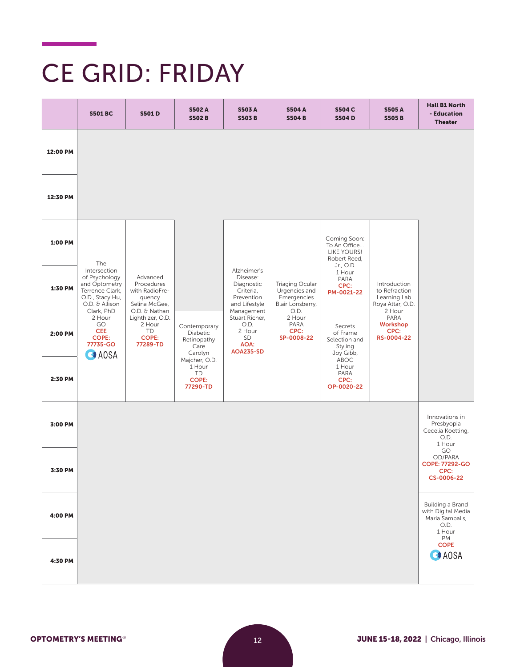# CE GRID: FRIDAY

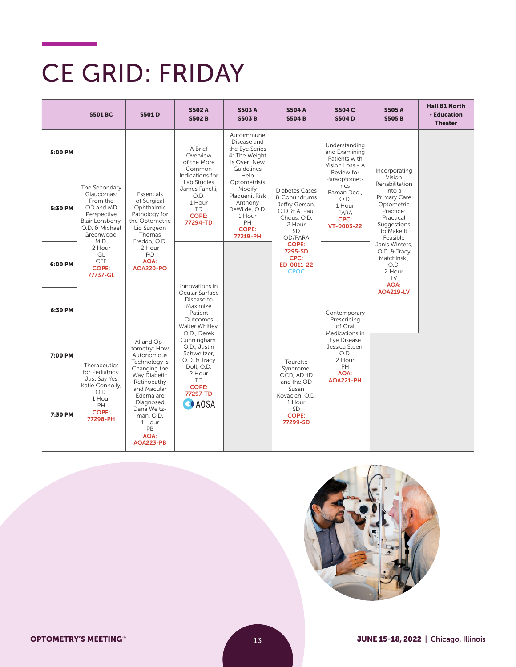# CE GRID: FRIDAY

|         | <b>S501 BC</b>                                                                                                                                                                                                                                                                                                                                                      | <b>S501D</b>                                                                                                                 | <b>S502 A</b><br><b>S502B</b>                                                                     | <b>S503A</b><br><b>S503B</b>                                                                                     | <b>S504 A</b><br><b>S504B</b>                                                                                       | <b>S504 C</b><br><b>S504D</b>                                                       | <b>S505 A</b><br><b>S505B</b>                                                                                                       | <b>Hall B1 North</b><br>- Education<br><b>Theater</b> |
|---------|---------------------------------------------------------------------------------------------------------------------------------------------------------------------------------------------------------------------------------------------------------------------------------------------------------------------------------------------------------------------|------------------------------------------------------------------------------------------------------------------------------|---------------------------------------------------------------------------------------------------|------------------------------------------------------------------------------------------------------------------|---------------------------------------------------------------------------------------------------------------------|-------------------------------------------------------------------------------------|-------------------------------------------------------------------------------------------------------------------------------------|-------------------------------------------------------|
| 5:00 PM |                                                                                                                                                                                                                                                                                                                                                                     |                                                                                                                              | A Brief<br>Overview<br>of the More<br>Common<br>Indications for                                   | Autoimmune<br>Disease and<br>the Eye Series<br>4: The Weight<br>is Over: New<br>Guidelines<br>Help               |                                                                                                                     | Understanding<br>and Examining<br>Patients with<br>Vision Loss - A<br>Review for    | Incorporating                                                                                                                       |                                                       |
| 5:30 PM | The Secondary<br><b>Essentials</b><br>Glaucomas:<br>From the<br>of Surgical<br>OD and MD<br>Ophthalmic<br>Pathology for<br>Perspective<br>Blair Lonsberry,<br>the Optometric<br>O.D. & Michael<br>Lid Surgeon<br>Greenwood.<br>Thomas<br>M.D.<br>Freddo, O.D.<br>2 Hour<br>2 Hour<br>GL<br>PO<br><b>CEE</b><br>AOA:<br><b>COPE:</b><br><b>AOA220-PO</b><br>77737-GL | Lab Studies<br>James Fanelli,<br>O.D.<br>1 Hour<br><b>TD</b><br><b>COPE:</b><br>77294-TD                                     |                                                                                                   | Optometrists<br>Modify<br>Plaquenil Risk<br>Anthony<br>DeWilde, O.D.<br>1 Hour<br>PH<br><b>COPE:</b><br>77219-PH | Diabetes Cases<br>& Conundrums<br>Jeffry Gerson,<br>O.D. & A. Paul<br>Chous, O.D.<br>2 Hour<br><b>SD</b><br>OD/PARA | Paraoptomet-<br>rics<br>Raman Deol.<br>O.D.<br>1 Hour<br>PARA<br>CPC:<br>VT-0003-22 | Vision<br>Rehabilitation<br>into a<br>Primary Care<br>Optometric<br>Practice:<br>Practical<br>Suggestions<br>to Make It<br>Feasible |                                                       |
| 6:00 PM |                                                                                                                                                                                                                                                                                                                                                                     | Innovations in                                                                                                               |                                                                                                   | <b>COPE:</b><br>7295-SD<br>CPC:<br>ED-0011-22<br><b>CPOC</b>                                                     |                                                                                                                     | Janis Winters,<br>O.D. & Tracy<br>Matchinski,<br>O.D.<br>2 Hour<br>LV<br>AOA:       |                                                                                                                                     |                                                       |
| 6:30 PM |                                                                                                                                                                                                                                                                                                                                                                     |                                                                                                                              | Ocular Surface<br>Disease to<br>Maximize<br>Patient<br>Outcomes<br>Walter Whitley,<br>O.D., Derek |                                                                                                                  |                                                                                                                     | Contemporary<br>Prescribing<br>of Oral                                              | <b>AOA219-LV</b>                                                                                                                    |                                                       |
| 7:00 PM | Al and Op-<br>tometry: How<br>Autonomous<br>Technology is<br>Therapeutics<br>Changing the<br>for Pediatrics:<br>Way Diabetic<br>Just Say Yes                                                                                                                                                                                                                        | Cunningham,<br>O.D., Justin<br>Schweitzer.<br>O.D. & Tracy<br>Doll, O.D.<br>2 Hour                                           |                                                                                                   | Tourette<br>Syndrome,<br>OCD, ADHD                                                                               | Medications in<br>Eye Disease<br>Jessica Steen.<br>O.D.<br>2 Hour<br>PH<br>AOA:                                     |                                                                                     |                                                                                                                                     |                                                       |
| 7:30 PM | Katie Connolly,<br>O.D.<br>1 Hour<br>PH<br><b>COPE:</b><br>77298-PH                                                                                                                                                                                                                                                                                                 | Retinopathy<br>and Macular<br>Edema are<br>Diagnosed<br>Dana Weitz-<br>man, O.D.<br>1 Hour<br>PB<br><b>AOA:</b><br>AOA223-PB | TD.<br><b>COPE:</b><br>77297-TD<br><b>CAOSA</b>                                                   |                                                                                                                  | and the OD<br>Susan<br>Kovacich, O.D.<br>1 Hour<br><b>SD</b><br>COPE:<br>77299-SD                                   | <b>AOA221-PH</b>                                                                    |                                                                                                                                     |                                                       |

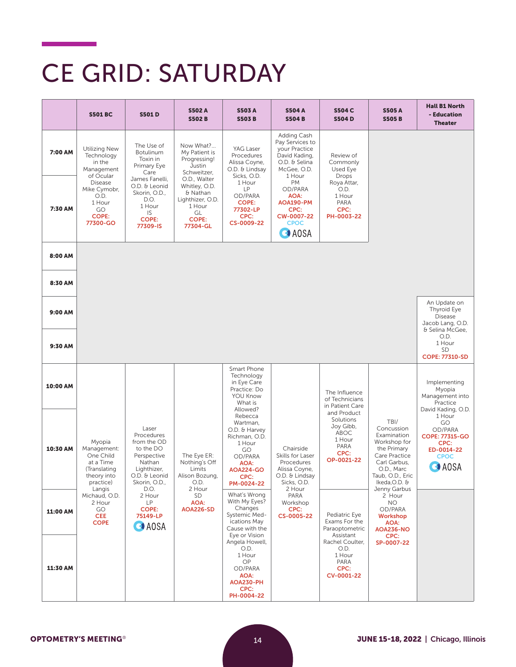## CE GRID: SATURDAY

|          | <b>S501 BC</b>                                                                                        | <b>S501D</b>                                                                                                                      | <b>S502A</b><br><b>S502B</b>                                                                              | <b>S503A</b><br><b>S503B</b>                                                                                                                   | <b>S504 A</b><br><b>S504B</b>                                                                              | <b>S504 C</b><br><b>S504D</b>                                                         | <b>S505 A</b><br><b>S505B</b>                                                                                                                                        | <b>Hall B1 North</b><br>- Education<br><b>Theater</b>                                                                 |
|----------|-------------------------------------------------------------------------------------------------------|-----------------------------------------------------------------------------------------------------------------------------------|-----------------------------------------------------------------------------------------------------------|------------------------------------------------------------------------------------------------------------------------------------------------|------------------------------------------------------------------------------------------------------------|---------------------------------------------------------------------------------------|----------------------------------------------------------------------------------------------------------------------------------------------------------------------|-----------------------------------------------------------------------------------------------------------------------|
| 7:00 AM  | Utilizing New<br>Technology<br>in the<br>Management<br>of Ocular                                      | The Use of<br>Botulinum<br>Toxin in<br>Primary Eye<br>Care                                                                        | Now What?<br>My Patient is<br>Progressing!<br>Justin<br>Schweitzer,                                       | YAG Laser<br>Procedures<br>Alissa Coyne,<br>O.D. & Lindsay<br>Sicks, O.D.                                                                      | Adding Cash<br>Pay Services to<br>your Practice<br>David Kading,<br>O.D. & Selina<br>McGee, O.D.<br>1 Hour | Review of<br>Commonly<br>Used Eye<br>Drops                                            |                                                                                                                                                                      |                                                                                                                       |
| 7:30 AM  | <b>Disease</b><br>Mike Cymobr,<br>O.D.<br>1 Hour<br>GO<br><b>COPE:</b><br>77300-GO                    | James Fanelli,<br>O.D. & Leonid<br>Skorin, O.D.,<br>D.O.<br>1 Hour<br>IS<br><b>COPE:</b><br>77309-IS                              | O.D., Walter<br>Whitley, O.D.<br>& Nathan<br>Lighthizer, O.D.<br>1 Hour<br>GL<br><b>COPE:</b><br>77304-GL | 1 Hour<br>LP<br>OD/PARA<br><b>COPE:</b><br>77302-LP<br>CPC:<br>CS-0009-22                                                                      | <b>PM</b><br>OD/PARA<br>AOA:<br><b>AOA190-PM</b><br>CPC:<br>CW-0007-22<br><b>CPOC</b><br><b>O</b> AOSA     | Roya Attar,<br>O.D.<br>1 Hour<br>PARA<br>CPC:<br>PH-0003-22                           |                                                                                                                                                                      |                                                                                                                       |
| 8:00 AM  |                                                                                                       |                                                                                                                                   |                                                                                                           |                                                                                                                                                |                                                                                                            |                                                                                       |                                                                                                                                                                      |                                                                                                                       |
| 8:30 AM  |                                                                                                       |                                                                                                                                   |                                                                                                           |                                                                                                                                                |                                                                                                            |                                                                                       |                                                                                                                                                                      |                                                                                                                       |
| 9:00 AM  |                                                                                                       |                                                                                                                                   |                                                                                                           |                                                                                                                                                |                                                                                                            |                                                                                       |                                                                                                                                                                      | An Update on<br>Thyroid Eye<br><b>Disease</b><br>Jacob Lang, O.D.<br>& Selina McGee,                                  |
| 9:30 AM  |                                                                                                       |                                                                                                                                   |                                                                                                           |                                                                                                                                                |                                                                                                            |                                                                                       |                                                                                                                                                                      | O.D.<br>1 Hour<br><b>SD</b><br><b>COPE: 77310-SD</b>                                                                  |
| 10:00 AM |                                                                                                       |                                                                                                                                   |                                                                                                           | Smart Phone<br>Technology<br>in Eye Care<br>Practice: Do<br>YOU Know<br>What is                                                                |                                                                                                            | The Influence<br>of Technicians<br>in Patient Care                                    |                                                                                                                                                                      | Implementing<br>Myopia<br>Management into<br>Practice                                                                 |
| 10:30 AM | Myopia<br>Management:<br>One Child<br>at a Time<br>(Translating<br>theory into<br>practice)<br>Langis | Laser<br>Procedures<br>from the OD<br>to the DO<br>Perspective<br>Nathan<br>Lighthizer,<br>O.D. & Leonid<br>Skorin, O.D.,<br>D.O. | The Eye ER:<br>Nothing's Off<br>Limits<br>Alison Bozung,<br>O.D.<br>2 Hour                                | Allowed?<br>Rebecca<br>Wartman,<br>O.D. & Harvey<br>Richman, O.D.<br>1 Hour<br>GO<br>OD/PARA<br>AOA:<br><b>AOA224-GO</b><br>CPC:<br>PM-0024-22 | Chairside<br>Skills for Laser<br>Procedures<br>Alissa Coyne,<br>O.D. & Lindsay<br>Sicks, O.D.<br>2 Hour    | and Product<br>Solutions<br>Joy Gibb,<br>ABOC<br>1 Hour<br>PARA<br>CPC:<br>OP-0021-22 | TBI/<br>Concussion<br>Examination<br>Workshop for<br>the Primary<br>Care Practice<br>Carl Garbus,<br>O.D., Marc<br>Taub, O.D., Eric<br>Ikeda, O.D. &<br>Jenny Garbus | David Kading, O.D.<br>1 Hour<br>GO<br>OD/PARA<br>COPE: 77315-GO<br>CPC:<br>ED-0014-22<br><b>CPOC</b><br><b>O</b> AOSA |
| 11:00 AM | Michaud, O.D.<br>2 Hour<br>GO<br><b>CEE</b><br><b>COPE</b>                                            | 2 Hour<br>LP.<br><b>COPE:</b><br>75149-LP<br><b>CAOSA</b>                                                                         | SD<br>AOA:<br><b>AOA226-SD</b>                                                                            | What's Wrong<br>With My Eyes?<br>Changes<br>Systemic Med-<br>ications May<br>Cause with the                                                    | PARA<br>Workshop<br>CPC:<br>CS-0005-22                                                                     | Pediatric Eye<br>Exams For the<br>Paraoptometric                                      | 2 Hour<br>NO.<br>OD/PARA<br><b>Workshop</b><br>AOA:<br><b>AOA236-NO</b>                                                                                              |                                                                                                                       |
| 11:30 AM |                                                                                                       |                                                                                                                                   |                                                                                                           | Eye or Vision<br>Angela Howell,<br>O.D.<br>1 Hour<br>OP<br>OD/PARA<br>AOA:<br>AOA230-PH<br>CPC:<br>PH-0004-22                                  |                                                                                                            | Assistant<br>Rachel Coulter,<br>O.D.<br>1 Hour<br>PARA<br>CPC:<br>CV-0001-22          | CPC:<br>SP-0007-22                                                                                                                                                   |                                                                                                                       |